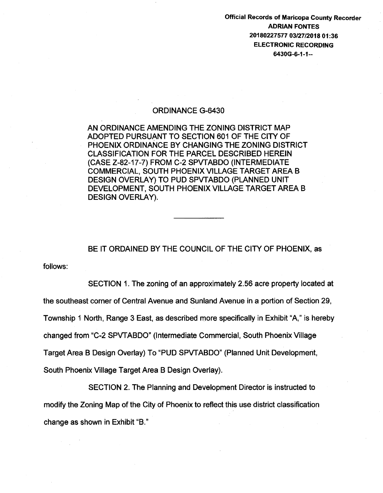Official Records of Maricopa County Recorder ADRIAN FONTES 20180227577 03/27/2018 01:36 ELECTRONIC RECORDING 6430G-6-1-1--

## ORDINANCE G-6430

AN ORDINANCE AMENDING THE ZONING DISTRICT MAP ADOPTED PURSUANT TO SECTION 601 OF THE CITY OF PHOENIX ORDINANCE BY CHANGING THE ZONING DISTRICT CLASSIFICATION FOR THE PARCEL DESCRIBED HEREIN (CASE Z-82-17-7) FROM C-2 SPVTABDO (INTERMEDIATE COMMERCIAL, SOUTH PHOENIX VILLAGE TARGET AREA B DESIGN OVERLAY) TO PUD SPVTABDO (PLANNED UNIT DEVELOPMENT, SOUTH PHOENIX VILLAGE TARGET AREA B DESIGN OVERLAY).

BE IT ORDAINED BY THE COUNCIL OF THE CITY OF PHOENIX, as

follows:

SECTION 1. The zoning of an approximately 2.56 acre property located at the southeast corner of Central Avenue and Sunland Avenue in a portion of Section 29, Township 1 North, Range 3 East, as described more specifically in Exhibit "A," is hereby changed from "C-2 SPVTABDO" (Intermediate Commercial, South Phoenix Village Target Area B Design Overlay) To "PUD SPVTABDO" (Planned Unit Development, South Phoenix Village Target Area B Design Overlay).

SECTION 2. The Planning and Development Director is instructed to modify the Zoning Map of the City of Phoenix to reflect this use district classification change as shown in Exhibit "B."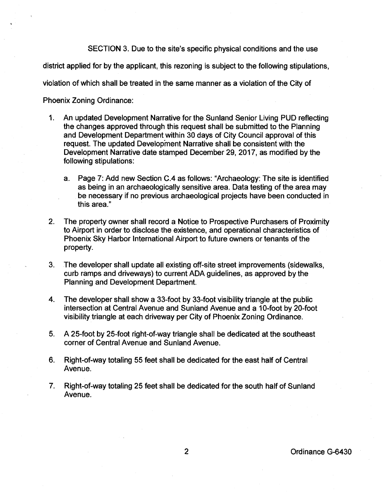SECTION 3. Due to the site's specific physical conditions and the use

district applied for by the applicant, this rezoning is subject to the following stipulations,

violation of which shall be treated in the same manner as a violation of the City of

Phoenix Zoning Ordinance:

- 1. An updated Development Narrative for the Sunland Senior Living PUD reflecting the changes approved through this request shall be submitted to the Planning and Development Department within 30 days of City Council approval of this request. The updated Development Narrative shall be consistent with the Development Narrative date stamped December 29, 2017, as modified by the following stipulations:
	- a. Page 7: Add new Section C.4 as follows: "Archaeology: The site is identified as being in an archaeologically sensitive area. Data testing of the area may be necessary if no previous archaeological projects have been conducted in this area."
- 2. The property owner shall record a Notice to Prospective Purchasers of Proximity to Airport in order to disclose the existence, and operational characteristics of Phoenix Sky Harbor International Airport to future owners or tenants of the property.
- 3. The developer shall update all existing off-site street improvements (sidewalks, curb ramps and driveways) to current ADA guidelines, as approved by the Planning and Development Department.
- 4. The developer shall show a 33-foot by 33-foot visibility triangle at the public intersection at Central Avenue and Sunland Avenue and a 10-foot by 20-foot visibility triangle at each driveway per City of Phoenix Zoning Ordinance.
- 5. A 25-foot by 25-foot right-of-way triangle shall be dedicated at the southeast corner of Central Avenue and Sunland Avenue.
- 6. Right-of-way totaling 55 feet shall be dedicated for the east half of Central Avenue.
- 7. Right-of-way totaling 25 feet shall be dedicated for the south half of Sunland Avenue.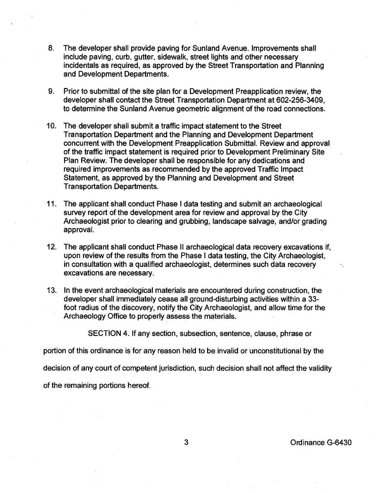- 8. The developer shall provide paving for Sunland Avenue. Improvements shall include paving, curb, gutter, sidewalk, street lights and other necessary incidentals as required, as approved by the Street Transportation and Planning and Development Departments.
- 9. Prior to submittal of the site plan for a Development Preapplication review, the developer shall contact the Street Transportation Department at 602-256-3409, to determine the Sunland Avenue geometric alignment of the road connections.
- 10. The developer shall submit a traffic impact statement to the Street Transportation Department and the Planning and Development Department concurrent with the Development Preapplication Submittal. Review and approval of the traffic impact statement is required prior to Development Preliminary Site Plan Review. The developer shall be responsible for any dedications and required improvements as recommended by the approved Traffic Impact Statement, as approved by the Planning and Development and Street Transportation Departments.
- 11. The applicant shall conduct Phase I data testing and submit an archaeological survey report of the development area for review and approval by the City Archaeologist prior to clearing and grubbing, landscape salvage, and/or grading approval.
- 12. The applicant shall conduct Phase II archaeological data recovery excavations if, upon review of the results from the Phase I data testing, the City Archaeologist, in consultation with a qualified archaeologist, determines such data recovery excavations are necessary.
- 13. In the event archaeological materials are encountered during construction, the developer shall immediately cease all ground-disturbing activities within a 33 foot radius of the discovery, notify the City Archaeologist, and allow time for the Archaeology Office to properly assess the materials.

SECTION 4. If any section, subsection, sentence, clause, phrase or

portion of this ordinance is for any reason held to be invalid or unconstitutional by the

decision of any court of competent jurisdiction, such decision shall not affect the validity

of the remaining portions hereof.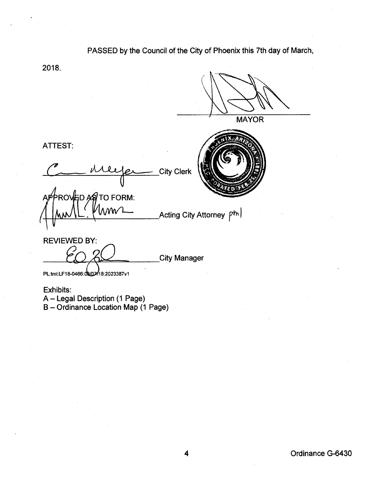## PASSED by the Council of the City of Phoenix this 7th day of March,

2018.

**MAYOR** TTEST:<br>Communication City Clerk PROVED ASTO FORM:  $\Lambda$ MV Acting City Attorney P<sup>hl</sup> City Manager

ATTEST:

ΔΡ

REVIEWED BY:

PL:tml:LF18-0466:08/07/18:2023387v1

Exhibits:

A - Legal Description (1 Page)

B- Ordinance Location Map (1 Page)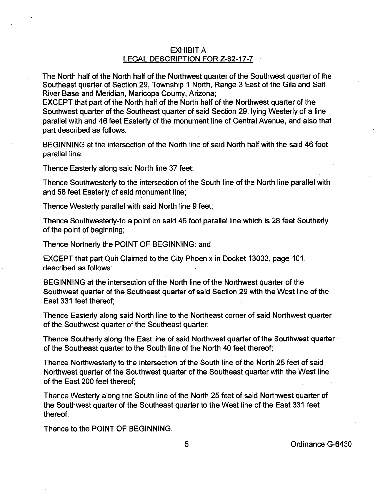## EXHIBIT A LEGAL DESCRIPTION FOR Z-82-17-7

The North half of the North half of the Northwest quarter of the Southwest quarter of the Southeast quarter of Section 29, Township 1 North, Range 3 East of the Gila and Salt River Base and Meridian, Maricopa County, Arizona;

EXCEPT that part of the North half of the North half of the Northwest quarter of the Southwest quarter of the Southeast quarter of said Section 29, lying Westerly of a line parallel with and 46 feet Easterly of the monument line of Central Avenue, and also that part described as follows:

BEGINNING at the intersection of the North line of said North half with the said 46 foot parallel line;

Thence Easterly along said North line 37 feet;

Thence Southwesterly to the intersection of the South line of the North line parallel with and 58 feet Easterly of said monument line;

Thence Westerly parallel with said North line 9 feet;

Thence Southwesterly-to a point on said 46 foot parallel line which is 28 feet Southerly of the point of beginning;

Thence Northerly the POINT OF BEGINNING; and

EXCEPT that part Quit Claimed to the City Phoenix in Docket 13033, page 101, described as follows:

BEGINNING at the intersection of the North line of the Northwest quarter of the Southwest quarter of the Southeast quarter of said Section 29 with the West line of the East 331 feet thereof;

Thence Easterly along said North line to the Northeast corner of said Northwest quarter of the Southwest quarter of the Southeast quarter;

Thence Southerly along the East line of said Northwest quarter of the Southwest quarter of the Southeast quarter to the South line of the North 40 feet thereof;

Thence Northwesterly to the intersection of the South line of the North 25 feet of said Northwest quarter of the Southwest quarter of the Southeast quarter with the West line of the East 200 feet thereof;

Thence Westerly along the South line of the North 25 feet of said Northwest quarter of the Southwest quarter of the Southeast quarter to the West line of the East 331 feet thereof;

Thence to the POINT OF BEGINNING.